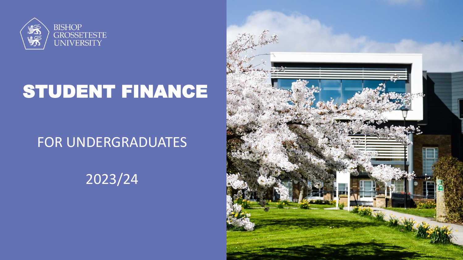

# STUDENT FINANCE

#### FOR UNDERGRADUATES

### 2023/24

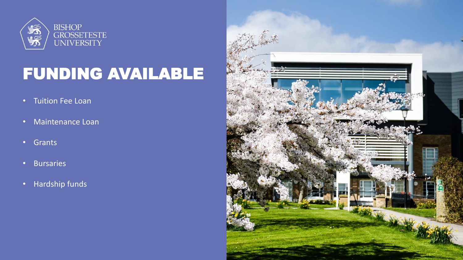

# FUNDING AVAILABLE

- Tuition Fee Loan
- Maintenance Loan
- Grants
- Bursaries
- Hardship funds

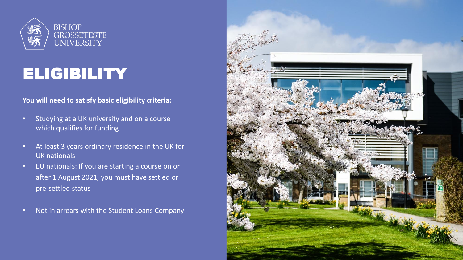

# **ELIGIBILITY**

#### **You will need to satisfy basic eligibility criteria:**

- Studying at a UK university and on a course which qualifies for funding
- At least 3 years ordinary residence in the UK for UK nationals
- EU nationals: If you are starting a course on or after 1 August 2021, you must have settled or pre-settled status
- Not in arrears with the Student Loans Company

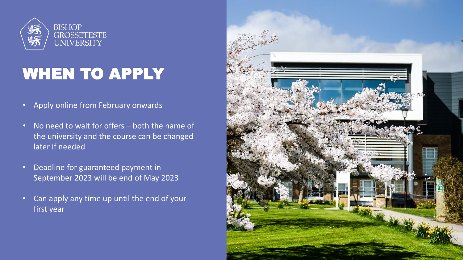

# WHEN TO APPLY

- Apply online from February onwards
- No need to wait for offers both the name of the university and the course can be changed later if needed
- Deadline for guaranteed payment in September 2023 will be end of May 2023
- Can apply any time up until the end of your first year

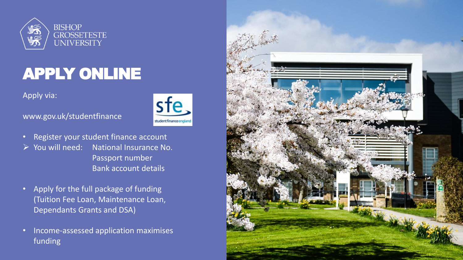

# APPLY ONLINE

Apply via:



www.gov.uk/studentfinance

- Register your student finance account ➢ You will need: National Insurance No. Passport number Bank account details
- Apply for the full package of funding (Tuition Fee Loan, Maintenance Loan, Dependants Grants and DSA)
- Income-assessed application maximises funding

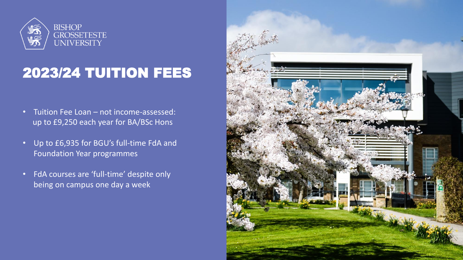

#### 2023/24 TUITION FEES

- Tuition Fee Loan not income-assessed: up to £9,250 each year for BA/BSc Hons
- Up to £6,935 for BGU's full-time FdA and Foundation Year programmes
- FdA courses are 'full-time' despite only being on campus one day a week

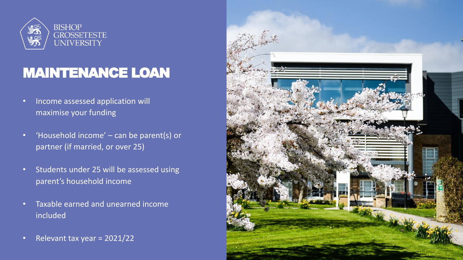

#### MAINTENANCE LOAN

- Income assessed application will maximise your funding
- 'Household income' can be parent(s) or partner (if married, or over 25)
- Students under 25 will be assessed using parent's household income
- Taxable earned and unearned income included
- Relevant tax year = 2021/22

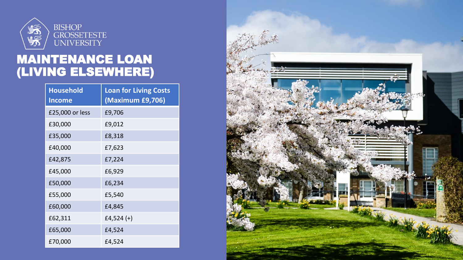

#### MAINTENANCE LOAN (LIVING ELSEWHERE)

| <b>Household</b><br><b>Income</b> | <b>Loan for Living Costs</b><br>(Maximum £9,706) |
|-----------------------------------|--------------------------------------------------|
| £25,000 or less                   | £9,706                                           |
| £30,000                           | £9,012                                           |
| £35,000                           | £8,318                                           |
| £40,000                           | £7,623                                           |
| £42,875                           | £7,224                                           |
| £45,000                           | £6,929                                           |
| £50,000                           | £6,234                                           |
| £55,000                           | £5,540                                           |
| £60,000                           | £4,845                                           |
| £62,311                           | £4,524 $(+)$                                     |
| £65,000                           | £4,524                                           |
| £70,000                           | £4,524                                           |

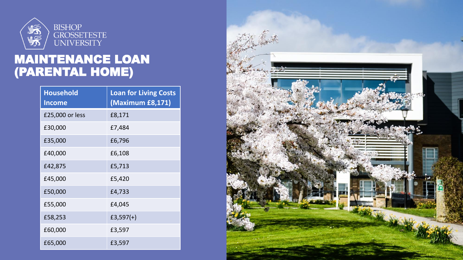

#### MAINTENANCE LOAN (PARENTAL HOME)

| <b>Household</b><br><b>Income</b> | <b>Loan for Living Costs</b><br>(Maximum £8,171) |
|-----------------------------------|--------------------------------------------------|
| £25,000 or less                   | £8,171                                           |
| £30,000                           | £7,484                                           |
| £35,000                           | £6,796                                           |
| £40,000                           | £6,108                                           |
| £42,875                           | £5,713                                           |
| £45,000                           | £5,420                                           |
| £50,000                           | £4,733                                           |
| £55,000                           | £4,045                                           |
| £58,253                           | $£3,597(+)$                                      |
| £60,000                           | £3,597                                           |
| £65,000                           | £3,597                                           |

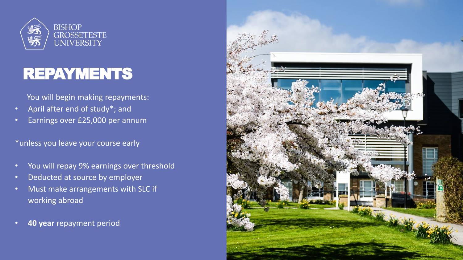

### REPAYMENTS

You will begin making repayments:

- April after end of study\*; and
- Earnings over £25,000 per annum

#### \*unless you leave your course early

- You will repay 9% earnings over threshold
- Deducted at source by employer
- Must make arrangements with SLC if working abroad
- **40 year** repayment period

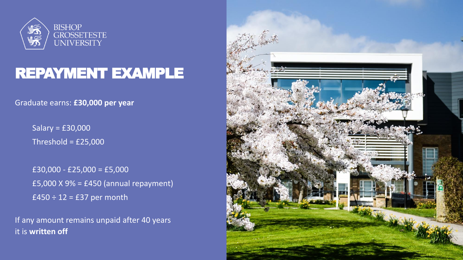

#### REPAYMENT EXAMPLE

Graduate earns: **£30,000 per year**

Salary = £30,000 Threshold =  $£25,000$ 

£30,000 - £25,000 = £5,000 £5,000 X 9% = £450 (annual repayment)  $£450 ÷ 12 = £37$  per month

If any amount remains unpaid after 40 years it is **written off**

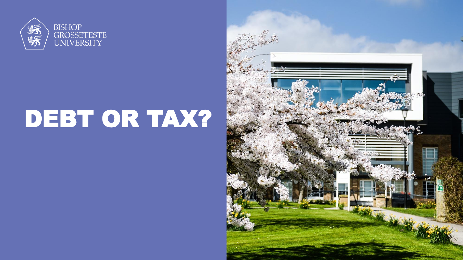

# DEBT OR TAX?

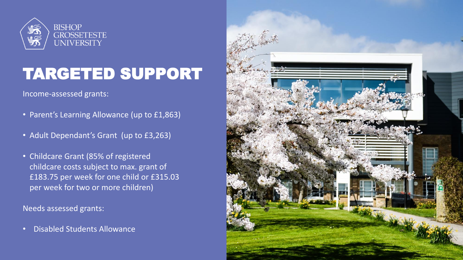

# TARGETED SUPPORT

Income-assessed grants:

- Parent's Learning Allowance (up to £1,863)
- Adult Dependant's Grant (up to £3,263)
- Childcare Grant (85% of registered childcare costs subject to max. grant of £183.75 per week for one child or £315.03 per week for two or more children)

Needs assessed grants:

• Disabled Students Allowance

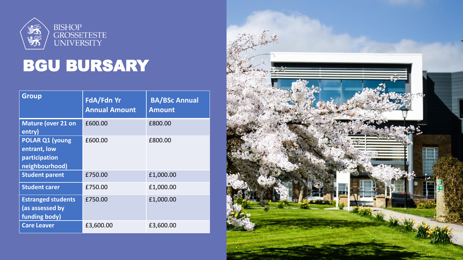

# BGU BURSARY

| <b>Group</b>                                                              | FdA/Fdn Yr<br><b>Annual Amount</b> | <b>BA/BSc Annual</b><br><b>Amount</b> |
|---------------------------------------------------------------------------|------------------------------------|---------------------------------------|
| <b>Mature (over 21 on</b><br>entry)                                       | £600.00                            | £800.00                               |
| <b>POLAR Q1 (young</b><br>entrant, low<br>participation<br>neighbourhood) | £600.00                            | £800.00                               |
| <b>Student parent</b>                                                     | £750.00                            | £1,000.00                             |
| <b>Student carer</b>                                                      | £750.00                            | £1,000.00                             |
| <b>Estranged students</b><br>(as assessed by<br>funding body)             | £750.00                            | £1,000.00                             |
| <b>Care Leaver</b>                                                        | £3,600.00                          | £3,600.00                             |

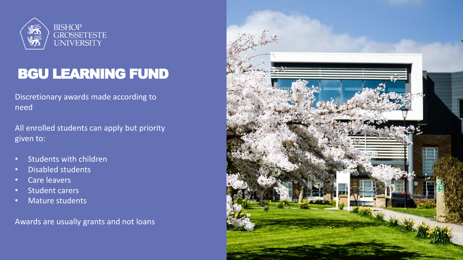

#### BGU LEARNING FUND

Discretionary awards made according to need

All enrolled students can apply but priority given to:

- Students with children
- Disabled students
- Care leavers
- Student carers
- Mature students

Awards are usually grants and not loans